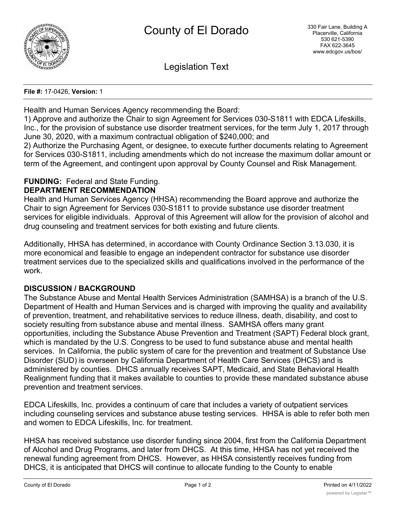

Legislation Text

**File #:** 17-0426, **Version:** 1

Health and Human Services Agency recommending the Board:

1) Approve and authorize the Chair to sign Agreement for Services 030-S1811 with EDCA Lifeskills, Inc., for the provision of substance use disorder treatment services, for the term July 1, 2017 through June 30, 2020, with a maximum contractual obligation of \$240,000; and

2) Authorize the Purchasing Agent, or designee, to execute further documents relating to Agreement for Services 030-S1811, including amendments which do not increase the maximum dollar amount or term of the Agreement, and contingent upon approval by County Counsel and Risk Management.

# **FUNDING:** Federal and State Funding.

### **DEPARTMENT RECOMMENDATION**

Health and Human Services Agency (HHSA) recommending the Board approve and authorize the Chair to sign Agreement for Services 030-S1811 to provide substance use disorder treatment services for eligible individuals. Approval of this Agreement will allow for the provision of alcohol and drug counseling and treatment services for both existing and future clients.

Additionally, HHSA has determined, in accordance with County Ordinance Section 3.13.030, it is more economical and feasible to engage an independent contractor for substance use disorder treatment services due to the specialized skills and qualifications involved in the performance of the work.

## **DISCUSSION / BACKGROUND**

The Substance Abuse and Mental Health Services Administration (SAMHSA) is a branch of the U.S. Department of Health and Human Services and is charged with improving the quality and availability of prevention, treatment, and rehabilitative services to reduce illness, death, disability, and cost to society resulting from substance abuse and mental illness. SAMHSA offers many grant opportunities, including the Substance Abuse Prevention and Treatment (SAPT) Federal block grant, which is mandated by the U.S. Congress to be used to fund substance abuse and mental health services. In California, the public system of care for the prevention and treatment of Substance Use Disorder (SUD) is overseen by California Department of Health Care Services (DHCS) and is administered by counties. DHCS annually receives SAPT, Medicaid, and State Behavioral Health Realignment funding that it makes available to counties to provide these mandated substance abuse prevention and treatment services.

EDCA Lifeskills, Inc. provides a continuum of care that includes a variety of outpatient services including counseling services and substance abuse testing services. HHSA is able to refer both men and women to EDCA Lifeskills, Inc. for treatment.

HHSA has received substance use disorder funding since 2004, first from the California Department of Alcohol and Drug Programs, and later from DHCS. At this time, HHSA has not yet received the renewal funding agreement from DHCS. However, as HHSA consistently receives funding from DHCS, it is anticipated that DHCS will continue to allocate funding to the County to enable